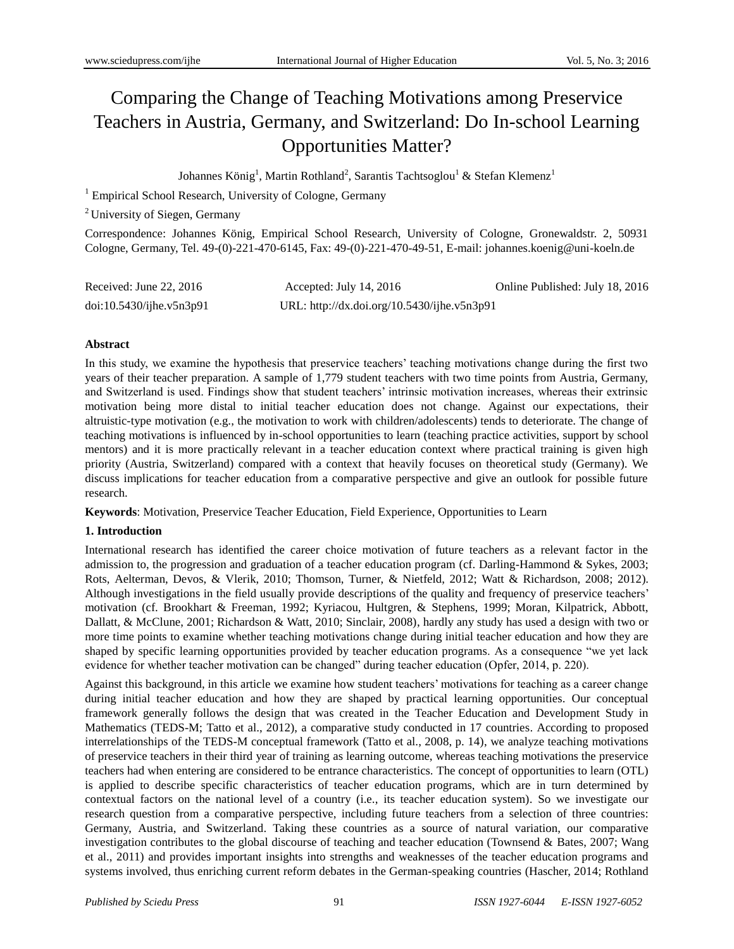# Comparing the Change of Teaching Motivations among Preservice Teachers in Austria, Germany, and Switzerland: Do In-school Learning Opportunities Matter?

Johannes König $^1$ , Martin Rothland $^2$ , Sarantis Tachtsoglou $^1$  & Stefan Klemenz $^1$ 

<sup>1</sup> Empirical School Research, University of Cologne, Germany

<sup>2</sup> University of Siegen, Germany

Correspondence: Johannes König, Empirical School Research, University of Cologne, Gronewaldstr. 2, 50931 Cologne, Germany, Tel. 49-(0)-221-470-6145, Fax: 49-(0)-221-470-49-51, E-mail: [johannes.koenig@uni-koeln.de](mailto:johannes.koenig@uni-koeln.de)

| Received: June $22, 2016$ | Accepted: July 14, 2016                     | Online Published: July 18, 2016 |
|---------------------------|---------------------------------------------|---------------------------------|
| doi:10.5430/ijhe.v5n3p91  | URL: http://dx.doi.org/10.5430/ijhe.v5n3p91 |                                 |

## **Abstract**

In this study, we examine the hypothesis that preservice teachers' teaching motivations change during the first two years of their teacher preparation. A sample of 1,779 student teachers with two time points from Austria, Germany, and Switzerland is used. Findings show that student teachers' intrinsic motivation increases, whereas their extrinsic motivation being more distal to initial teacher education does not change. Against our expectations, their altruistic-type motivation (e.g., the motivation to work with children/adolescents) tends to deteriorate. The change of teaching motivations is influenced by in-school opportunities to learn (teaching practice activities, support by school mentors) and it is more practically relevant in a teacher education context where practical training is given high priority (Austria, Switzerland) compared with a context that heavily focuses on theoretical study (Germany). We discuss implications for teacher education from a comparative perspective and give an outlook for possible future research.

**Keywords**: Motivation, Preservice Teacher Education, Field Experience, Opportunities to Learn

#### **1. Introduction**

International research has identified the career choice motivation of future teachers as a relevant factor in the admission to, the progression and graduation of a teacher education program (cf. Darling-Hammond & Sykes, 2003; Rots, Aelterman, Devos, & Vlerik, 2010; Thomson, Turner, & Nietfeld, 2012; Watt & Richardson, 2008; 2012). Although investigations in the field usually provide descriptions of the quality and frequency of preservice teachers' motivation (cf. Brookhart & Freeman, 1992; Kyriacou, Hultgren, & Stephens, 1999; Moran, Kilpatrick, Abbott, Dallatt, & McClune, 2001; Richardson & Watt, 2010; Sinclair, 2008), hardly any study has used a design with two or more time points to examine whether teaching motivations change during initial teacher education and how they are shaped by specific learning opportunities provided by teacher education programs. As a consequence "we yet lack evidence for whether teacher motivation can be changed" during teacher education (Opfer, 2014, p. 220).

Against this background, in this article we examine how student teachers' motivations for teaching as a career change during initial teacher education and how they are shaped by practical learning opportunities. Our conceptual framework generally follows the design that was created in the Teacher Education and Development Study in Mathematics (TEDS-M; Tatto et al., 2012), a comparative study conducted in 17 countries. According to proposed interrelationships of the TEDS-M conceptual framework (Tatto et al., 2008, p. 14), we analyze teaching motivations of preservice teachers in their third year of training as learning outcome, whereas teaching motivations the preservice teachers had when entering are considered to be entrance characteristics. The concept of opportunities to learn (OTL) is applied to describe specific characteristics of teacher education programs, which are in turn determined by contextual factors on the national level of a country (i.e., its teacher education system). So we investigate our research question from a comparative perspective, including future teachers from a selection of three countries: Germany, Austria, and Switzerland. Taking these countries as a source of natural variation, our comparative investigation contributes to the global discourse of teaching and teacher education (Townsend & Bates, 2007; Wang et al., 2011) and provides important insights into strengths and weaknesses of the teacher education programs and systems involved, thus enriching current reform debates in the German-speaking countries (Hascher, 2014; Rothland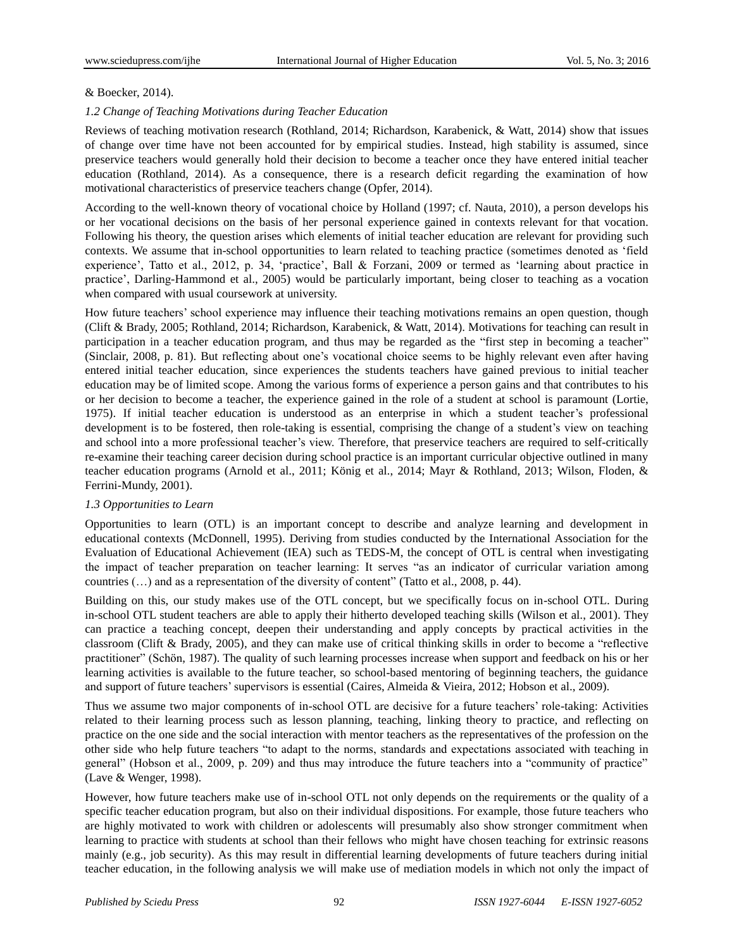## & Boecker, 2014).

## *1.2 Change of Teaching Motivations during Teacher Education*

Reviews of teaching motivation research (Rothland, 2014; Richardson, Karabenick, & Watt, 2014) show that issues of change over time have not been accounted for by empirical studies. Instead, high stability is assumed, since preservice teachers would generally hold their decision to become a teacher once they have entered initial teacher education (Rothland, 2014). As a consequence, there is a research deficit regarding the examination of how motivational characteristics of preservice teachers change (Opfer, 2014).

According to the well-known theory of vocational choice by Holland (1997; cf. Nauta, 2010), a person develops his or her vocational decisions on the basis of her personal experience gained in contexts relevant for that vocation. Following his theory, the question arises which elements of initial teacher education are relevant for providing such contexts. We assume that in-school opportunities to learn related to teaching practice (sometimes denoted as 'field experience', Tatto et al., 2012, p. 34, 'practice', Ball & Forzani, 2009 or termed as 'learning about practice in practice', Darling-Hammond et al., 2005) would be particularly important, being closer to teaching as a vocation when compared with usual coursework at university.

How future teachers' school experience may influence their teaching motivations remains an open question, though (Clift & Brady, 2005; Rothland, 2014; Richardson, Karabenick, & Watt, 2014). Motivations for teaching can result in participation in a teacher education program, and thus may be regarded as the "first step in becoming a teacher" (Sinclair, 2008, p. 81). But reflecting about one's vocational choice seems to be highly relevant even after having entered initial teacher education, since experiences the students teachers have gained previous to initial teacher education may be of limited scope. Among the various forms of experience a person gains and that contributes to his or her decision to become a teacher, the experience gained in the role of a student at school is paramount (Lortie, 1975). If initial teacher education is understood as an enterprise in which a student teacher's professional development is to be fostered, then role-taking is essential, comprising the change of a student's view on teaching and school into a more professional teacher's view. Therefore, that preservice teachers are required to self-critically re-examine their teaching career decision during school practice is an important curricular objective outlined in many teacher education programs (Arnold et al., 2011; König et al., 2014; Mayr & Rothland, 2013; Wilson, Floden, & Ferrini-Mundy, 2001).

#### *1.3 Opportunities to Learn*

Opportunities to learn (OTL) is an important concept to describe and analyze learning and development in educational contexts (McDonnell, 1995). Deriving from studies conducted by the International Association for the Evaluation of Educational Achievement (IEA) such as TEDS-M, the concept of OTL is central when investigating the impact of teacher preparation on teacher learning: It serves "as an indicator of curricular variation among countries (…) and as a representation of the diversity of content" (Tatto et al., 2008, p. 44).

Building on this, our study makes use of the OTL concept, but we specifically focus on in-school OTL. During in-school OTL student teachers are able to apply their hitherto developed teaching skills (Wilson et al., 2001). They can practice a teaching concept, deepen their understanding and apply concepts by practical activities in the classroom (Clift & Brady, 2005), and they can make use of critical thinking skills in order to become a "reflective practitioner" (Schön, 1987). The quality of such learning processes increase when support and feedback on his or her learning activities is available to the future teacher, so school-based mentoring of beginning teachers, the guidance and support of future teachers' supervisors is essential (Caires, Almeida & Vieira, 2012; Hobson et al., 2009).

Thus we assume two major components of in-school OTL are decisive for a future teachers' role-taking: Activities related to their learning process such as lesson planning, teaching, linking theory to practice, and reflecting on practice on the one side and the social interaction with mentor teachers as the representatives of the profession on the other side who help future teachers "to adapt to the norms, standards and expectations associated with teaching in general" (Hobson et al., 2009, p. 209) and thus may introduce the future teachers into a "community of practice" (Lave & Wenger, 1998).

However, how future teachers make use of in-school OTL not only depends on the requirements or the quality of a specific teacher education program, but also on their individual dispositions. For example, those future teachers who are highly motivated to work with children or adolescents will presumably also show stronger commitment when learning to practice with students at school than their fellows who might have chosen teaching for extrinsic reasons mainly (e.g., job security). As this may result in differential learning developments of future teachers during initial teacher education, in the following analysis we will make use of mediation models in which not only the impact of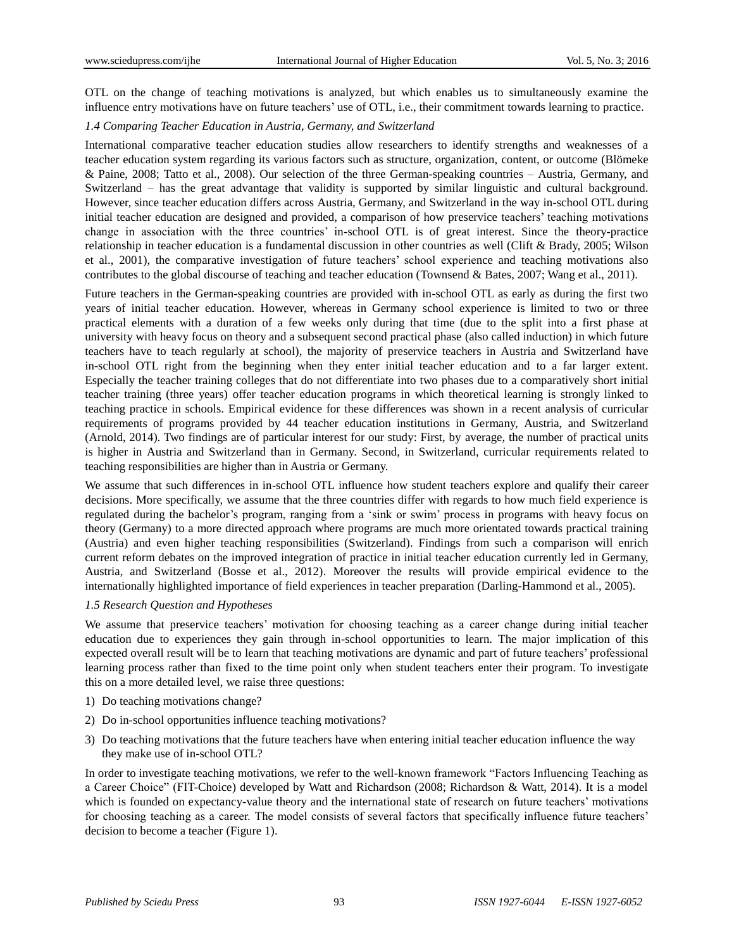OTL on the change of teaching motivations is analyzed, but which enables us to simultaneously examine the influence entry motivations have on future teachers' use of OTL, i.e., their commitment towards learning to practice.

## *1.4 Comparing Teacher Education in Austria, Germany, and Switzerland*

International comparative teacher education studies allow researchers to identify strengths and weaknesses of a teacher education system regarding its various factors such as structure, organization, content, or outcome (Blömeke & Paine, 2008; Tatto et al., 2008). Our selection of the three German-speaking countries – Austria, Germany, and Switzerland – has the great advantage that validity is supported by similar linguistic and cultural background. However, since teacher education differs across Austria, Germany, and Switzerland in the way in-school OTL during initial teacher education are designed and provided, a comparison of how preservice teachers' teaching motivations change in association with the three countries' in-school OTL is of great interest. Since the theory-practice relationship in teacher education is a fundamental discussion in other countries as well (Clift & Brady, 2005; Wilson et al., 2001), the comparative investigation of future teachers' school experience and teaching motivations also contributes to the global discourse of teaching and teacher education (Townsend & Bates, 2007; Wang et al., 2011).

Future teachers in the German-speaking countries are provided with in-school OTL as early as during the first two years of initial teacher education. However, whereas in Germany school experience is limited to two or three practical elements with a duration of a few weeks only during that time (due to the split into a first phase at university with heavy focus on theory and a subsequent second practical phase (also called induction) in which future teachers have to teach regularly at school), the majority of preservice teachers in Austria and Switzerland have in-school OTL right from the beginning when they enter initial teacher education and to a far larger extent. Especially the teacher training colleges that do not differentiate into two phases due to a comparatively short initial teacher training (three years) offer teacher education programs in which theoretical learning is strongly linked to teaching practice in schools. Empirical evidence for these differences was shown in a recent analysis of curricular requirements of programs provided by 44 teacher education institutions in Germany, Austria, and Switzerland (Arnold, 2014). Two findings are of particular interest for our study: First, by average, the number of practical units is higher in Austria and Switzerland than in Germany. Second, in Switzerland, curricular requirements related to teaching responsibilities are higher than in Austria or Germany.

We assume that such differences in in-school OTL influence how student teachers explore and qualify their career decisions. More specifically, we assume that the three countries differ with regards to how much field experience is regulated during the bachelor's program, ranging from a 'sink or swim' process in programs with heavy focus on theory (Germany) to a more directed approach where programs are much more orientated towards practical training (Austria) and even higher teaching responsibilities (Switzerland). Findings from such a comparison will enrich current reform debates on the improved integration of practice in initial teacher education currently led in Germany, Austria, and Switzerland (Bosse et al., 2012). Moreover the results will provide empirical evidence to the internationally highlighted importance of field experiences in teacher preparation (Darling-Hammond et al., 2005).

#### *1.5 Research Question and Hypotheses*

We assume that preservice teachers' motivation for choosing teaching as a career change during initial teacher education due to experiences they gain through in-school opportunities to learn. The major implication of this expected overall result will be to learn that teaching motivations are dynamic and part of future teachers' professional learning process rather than fixed to the time point only when student teachers enter their program. To investigate this on a more detailed level, we raise three questions:

- 1) Do teaching motivations change?
- 2) Do in-school opportunities influence teaching motivations?
- 3) Do teaching motivations that the future teachers have when entering initial teacher education influence the way they make use of in-school OTL?

In order to investigate teaching motivations, we refer to the well-known framework "Factors Influencing Teaching as a Career Choice" (FIT-Choice) developed by Watt and Richardson (2008; Richardson & Watt, 2014). It is a model which is founded on expectancy-value theory and the international state of research on future teachers' motivations for choosing teaching as a career. The model consists of several factors that specifically influence future teachers' decision to become a teacher (Figure 1).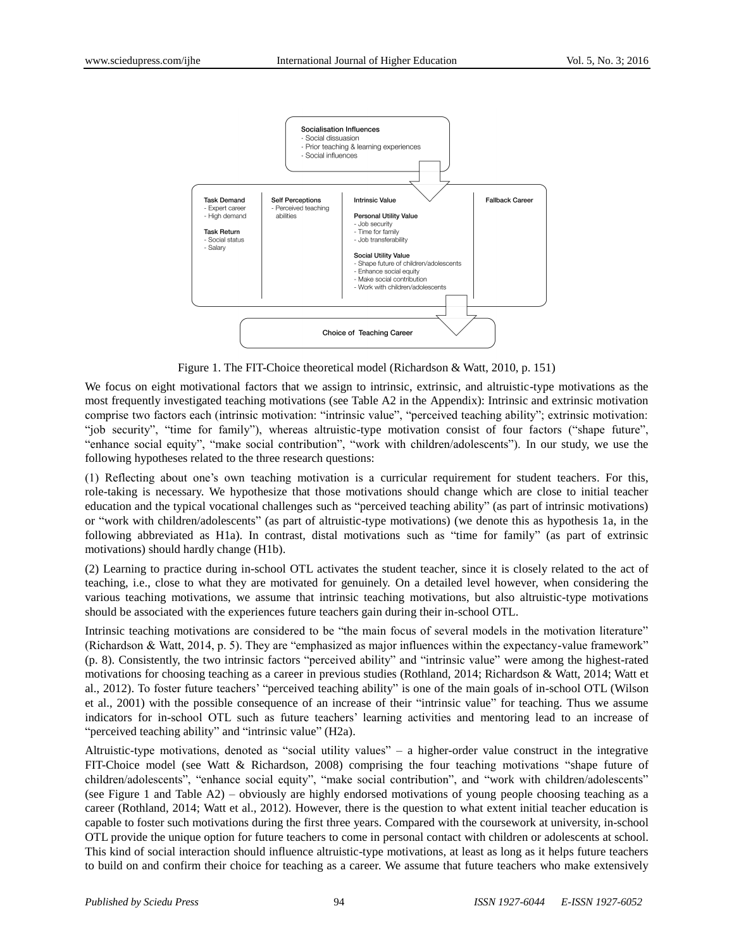

Figure 1. The FIT-Choice theoretical model (Richardson & Watt, 2010, p. 151)

We focus on eight motivational factors that we assign to intrinsic, extrinsic, and altruistic-type motivations as the most frequently investigated teaching motivations (see Table A2 in the Appendix): Intrinsic and extrinsic motivation comprise two factors each (intrinsic motivation: "intrinsic value", "perceived teaching ability"; extrinsic motivation: "job security", "time for family"), whereas altruistic-type motivation consist of four factors ("shape future", "enhance social equity", "make social contribution", "work with children/adolescents"). In our study, we use the following hypotheses related to the three research questions:

(1) Reflecting about one's own teaching motivation is a curricular requirement for student teachers. For this, role-taking is necessary. We hypothesize that those motivations should change which are close to initial teacher education and the typical vocational challenges such as "perceived teaching ability" (as part of intrinsic motivations) or "work with children/adolescents" (as part of altruistic-type motivations) (we denote this as hypothesis 1a, in the following abbreviated as H1a). In contrast, distal motivations such as "time for family" (as part of extrinsic motivations) should hardly change (H1b).

(2) Learning to practice during in-school OTL activates the student teacher, since it is closely related to the act of teaching, i.e., close to what they are motivated for genuinely. On a detailed level however, when considering the various teaching motivations, we assume that intrinsic teaching motivations, but also altruistic-type motivations should be associated with the experiences future teachers gain during their in-school OTL.

Intrinsic teaching motivations are considered to be "the main focus of several models in the motivation literature" (Richardson & Watt, 2014, p. 5). They are "emphasized as major influences within the expectancy-value framework" (p. 8). Consistently, the two intrinsic factors "perceived ability" and "intrinsic value" were among the highest-rated motivations for choosing teaching as a career in previous studies (Rothland, 2014; Richardson & Watt, 2014; Watt et al., 2012). To foster future teachers' "perceived teaching ability" is one of the main goals of in-school OTL (Wilson et al., 2001) with the possible consequence of an increase of their "intrinsic value" for teaching. Thus we assume indicators for in-school OTL such as future teachers' learning activities and mentoring lead to an increase of "perceived teaching ability" and "intrinsic value" (H2a).

Altruistic-type motivations, denoted as "social utility values" – a higher-order value construct in the integrative FIT-Choice model (see Watt & Richardson, 2008) comprising the four teaching motivations "shape future of children/adolescents", "enhance social equity", "make social contribution", and "work with children/adolescents" (see Figure 1 and Table A2) – obviously are highly endorsed motivations of young people choosing teaching as a career (Rothland, 2014; Watt et al., 2012). However, there is the question to what extent initial teacher education is capable to foster such motivations during the first three years. Compared with the coursework at university, in-school OTL provide the unique option for future teachers to come in personal contact with children or adolescents at school. This kind of social interaction should influence altruistic-type motivations, at least as long as it helps future teachers to build on and confirm their choice for teaching as a career. We assume that future teachers who make extensively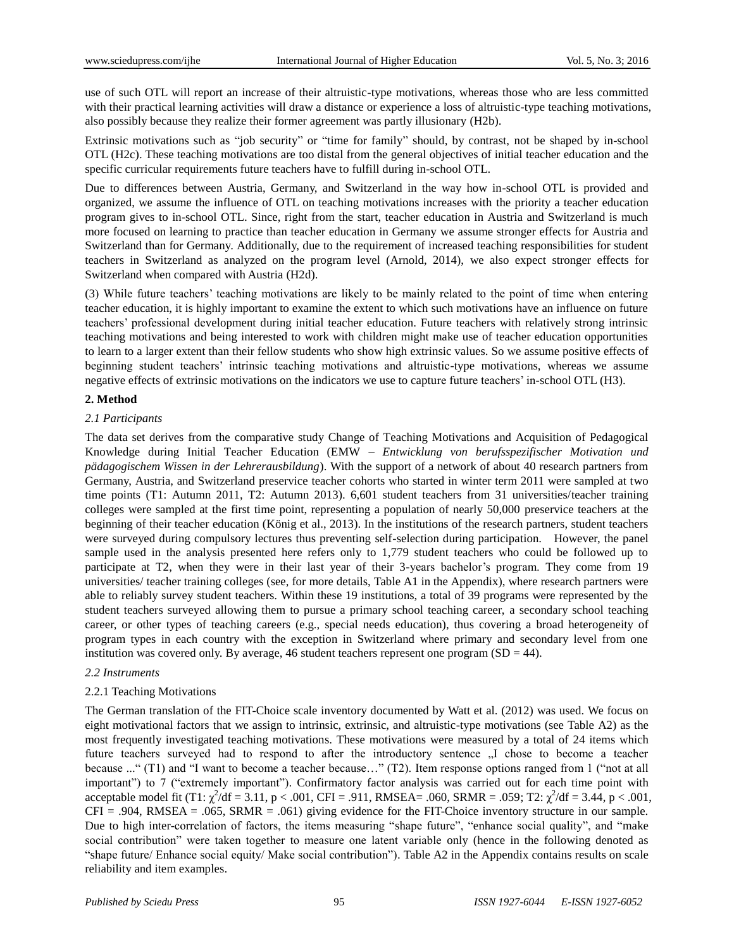use of such OTL will report an increase of their altruistic-type motivations, whereas those who are less committed with their practical learning activities will draw a distance or experience a loss of altruistic-type teaching motivations, also possibly because they realize their former agreement was partly illusionary (H2b).

Extrinsic motivations such as "job security" or "time for family" should, by contrast, not be shaped by in-school OTL (H2c). These teaching motivations are too distal from the general objectives of initial teacher education and the specific curricular requirements future teachers have to fulfill during in-school OTL.

Due to differences between Austria, Germany, and Switzerland in the way how in-school OTL is provided and organized, we assume the influence of OTL on teaching motivations increases with the priority a teacher education program gives to in-school OTL. Since, right from the start, teacher education in Austria and Switzerland is much more focused on learning to practice than teacher education in Germany we assume stronger effects for Austria and Switzerland than for Germany. Additionally, due to the requirement of increased teaching responsibilities for student teachers in Switzerland as analyzed on the program level (Arnold, 2014), we also expect stronger effects for Switzerland when compared with Austria (H2d).

(3) While future teachers' teaching motivations are likely to be mainly related to the point of time when entering teacher education, it is highly important to examine the extent to which such motivations have an influence on future teachers' professional development during initial teacher education. Future teachers with relatively strong intrinsic teaching motivations and being interested to work with children might make use of teacher education opportunities to learn to a larger extent than their fellow students who show high extrinsic values. So we assume positive effects of beginning student teachers' intrinsic teaching motivations and altruistic-type motivations, whereas we assume negative effects of extrinsic motivations on the indicators we use to capture future teachers' in-school OTL (H3).

## **2. Method**

## *2.1 Participants*

The data set derives from the comparative study Change of Teaching Motivations and Acquisition of Pedagogical Knowledge during Initial Teacher Education (EMW – *Entwicklung von berufsspezifischer Motivation und pädagogischem Wissen in der Lehrerausbildung*). With the support of a network of about 40 research partners from Germany, Austria, and Switzerland preservice teacher cohorts who started in winter term 2011 were sampled at two time points (T1: Autumn 2011, T2: Autumn 2013). 6,601 student teachers from 31 universities/teacher training colleges were sampled at the first time point, representing a population of nearly 50,000 preservice teachers at the beginning of their teacher education (König et al., 2013). In the institutions of the research partners, student teachers were surveyed during compulsory lectures thus preventing self-selection during participation. However, the panel sample used in the analysis presented here refers only to 1,779 student teachers who could be followed up to participate at T2, when they were in their last year of their 3-years bachelor's program. They come from 19 universities/ teacher training colleges (see, for more details, Table A1 in the Appendix), where research partners were able to reliably survey student teachers. Within these 19 institutions, a total of 39 programs were represented by the student teachers surveyed allowing them to pursue a primary school teaching career, a secondary school teaching career, or other types of teaching careers (e.g., special needs education), thus covering a broad heterogeneity of program types in each country with the exception in Switzerland where primary and secondary level from one institution was covered only. By average, 46 student teachers represent one program  $(SD = 44)$ .

#### *2.2 Instruments*

#### 2.2.1 Teaching Motivations

The German translation of the FIT-Choice scale inventory documented by Watt et al. (2012) was used. We focus on eight motivational factors that we assign to intrinsic, extrinsic, and altruistic-type motivations (see Table A2) as the most frequently investigated teaching motivations. These motivations were measured by a total of 24 items which future teachers surveyed had to respond to after the introductory sentence  $I$ , chose to become a teacher because ..." (T1) and "I want to become a teacher because…" (T2). Item response options ranged from 1 ("not at all important") to 7 ("extremely important"). Confirmatory factor analysis was carried out for each time point with acceptable model fit (T1:  $\chi^2$ /df = 3.11, p < .001, CFI = .911, RMSEA= .060, SRMR = .059; T2:  $\chi^2$ /df = 3.44, p < .001,  $CFI = .904$ , RMSEA = .065, SRMR = .061) giving evidence for the FIT-Choice inventory structure in our sample. Due to high inter-correlation of factors, the items measuring "shape future", "enhance social quality", and "make social contribution" were taken together to measure one latent variable only (hence in the following denoted as "shape future/ Enhance social equity/ Make social contribution"). Table A2 in the Appendix contains results on scale reliability and item examples.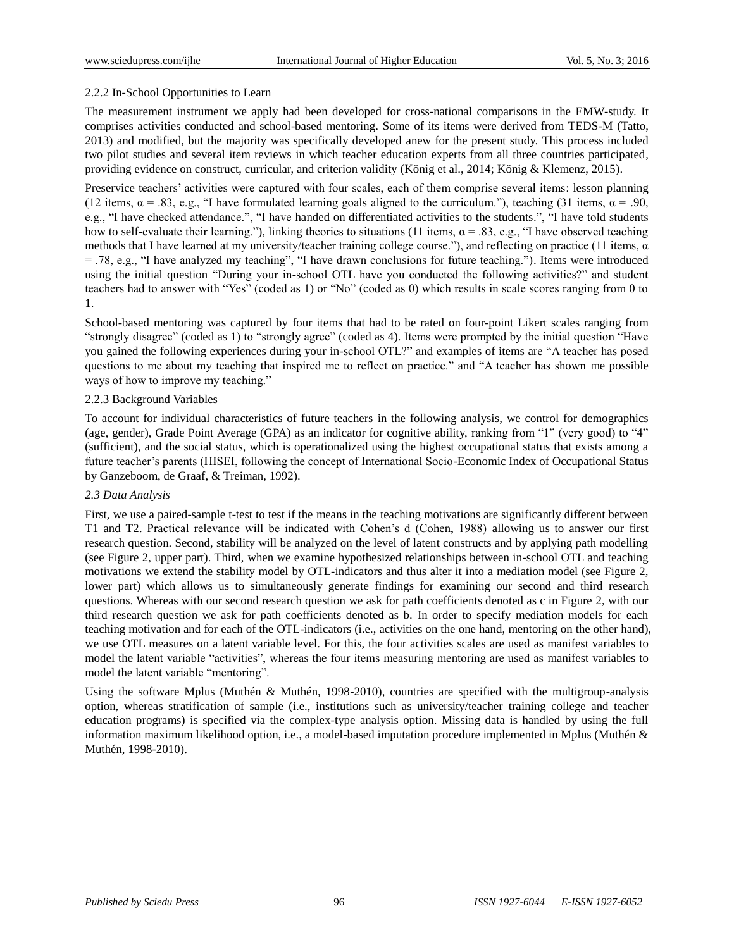## 2.2.2 In-School Opportunities to Learn

The measurement instrument we apply had been developed for cross-national comparisons in the EMW-study. It comprises activities conducted and school-based mentoring. Some of its items were derived from TEDS-M (Tatto, 2013) and modified, but the majority was specifically developed anew for the present study. This process included two pilot studies and several item reviews in which teacher education experts from all three countries participated, providing evidence on construct, curricular, and criterion validity (König et al., 2014; König & Klemenz, 2015).

Preservice teachers' activities were captured with four scales, each of them comprise several items: lesson planning (12 items,  $\alpha = .83$ , e.g., "I have formulated learning goals aligned to the curriculum."), teaching (31 items,  $\alpha = .90$ , e.g., "I have checked attendance.", "I have handed on differentiated activities to the students.", "I have told students how to self-evaluate their learning."), linking theories to situations (11 items,  $α = .83$ , e.g., "I have observed teaching methods that I have learned at my university/teacher training college course."), and reflecting on practice (11 items,  $\alpha$ = .78, e.g., "I have analyzed my teaching", "I have drawn conclusions for future teaching."). Items were introduced using the initial question "During your in-school OTL have you conducted the following activities?" and student teachers had to answer with "Yes" (coded as 1) or "No" (coded as 0) which results in scale scores ranging from 0 to 1.

School-based mentoring was captured by four items that had to be rated on four-point Likert scales ranging from "strongly disagree" (coded as 1) to "strongly agree" (coded as 4). Items were prompted by the initial question "Have you gained the following experiences during your in-school OTL?" and examples of items are "A teacher has posed questions to me about my teaching that inspired me to reflect on practice." and "A teacher has shown me possible ways of how to improve my teaching."

## 2.2.3 Background Variables

To account for individual characteristics of future teachers in the following analysis, we control for demographics (age, gender), Grade Point Average (GPA) as an indicator for cognitive ability, ranking from "1" (very good) to "4" (sufficient), and the social status, which is operationalized using the highest occupational status that exists among a future teacher's parents (HISEI, following the concept of International Socio-Economic Index of Occupational Status by Ganzeboom, de Graaf, & Treiman, 1992).

#### *2.3 Data Analysis*

First, we use a paired-sample t-test to test if the means in the teaching motivations are significantly different between T1 and T2. Practical relevance will be indicated with Cohen's d (Cohen, 1988) allowing us to answer our first research question. Second, stability will be analyzed on the level of latent constructs and by applying path modelling (see Figure 2, upper part). Third, when we examine hypothesized relationships between in-school OTL and teaching motivations we extend the stability model by OTL-indicators and thus alter it into a mediation model (see Figure 2, lower part) which allows us to simultaneously generate findings for examining our second and third research questions. Whereas with our second research question we ask for path coefficients denoted as c in Figure 2, with our third research question we ask for path coefficients denoted as b. In order to specify mediation models for each teaching motivation and for each of the OTL-indicators (i.e., activities on the one hand, mentoring on the other hand), we use OTL measures on a latent variable level. For this, the four activities scales are used as manifest variables to model the latent variable "activities", whereas the four items measuring mentoring are used as manifest variables to model the latent variable "mentoring".

Using the software Mplus (Muthén & Muthén, 1998-2010), countries are specified with the multigroup-analysis option, whereas stratification of sample (i.e., institutions such as university/teacher training college and teacher education programs) is specified via the complex-type analysis option. Missing data is handled by using the full information maximum likelihood option, i.e., a model-based imputation procedure implemented in Mplus (Muthén & Muthén, 1998-2010).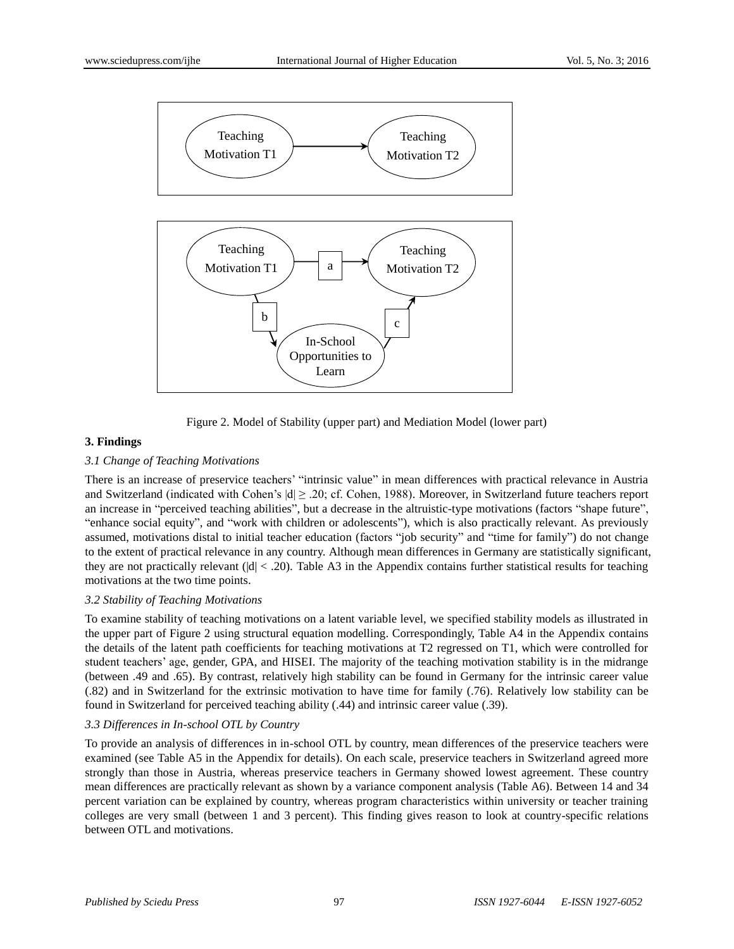

Learn

Figure 2. Model of Stability (upper part) and Mediation Model (lower part)

#### **3. Findings**

## *3.1 Change of Teaching Motivations*

There is an increase of preservice teachers' "intrinsic value" in mean differences with practical relevance in Austria and Switzerland (indicated with Cohen's  $|d| \ge 0.20$ ; cf. Cohen, 1988). Moreover, in Switzerland future teachers report an increase in "perceived teaching abilities", but a decrease in the altruistic-type motivations (factors "shape future", "enhance social equity", and "work with children or adolescents"), which is also practically relevant. As previously assumed, motivations distal to initial teacher education (factors "job security" and "time for family") do not change to the extent of practical relevance in any country. Although mean differences in Germany are statistically significant, they are not practically relevant ( $|d| < .20$ ). Table A3 in the Appendix contains further statistical results for teaching motivations at the two time points.

#### *3.2 Stability of Teaching Motivations*

To examine stability of teaching motivations on a latent variable level, we specified stability models as illustrated in the upper part of Figure 2 using structural equation modelling. Correspondingly, Table A4 in the Appendix contains the details of the latent path coefficients for teaching motivations at T2 regressed on T1, which were controlled for student teachers' age, gender, GPA, and HISEI. The majority of the teaching motivation stability is in the midrange (between .49 and .65). By contrast, relatively high stability can be found in Germany for the intrinsic career value (.82) and in Switzerland for the extrinsic motivation to have time for family (.76). Relatively low stability can be found in Switzerland for perceived teaching ability (.44) and intrinsic career value (.39).

#### *3.3 Differences in In-school OTL by Country*

To provide an analysis of differences in in-school OTL by country, mean differences of the preservice teachers were examined (see Table A5 in the Appendix for details). On each scale, preservice teachers in Switzerland agreed more strongly than those in Austria, whereas preservice teachers in Germany showed lowest agreement. These country mean differences are practically relevant as shown by a variance component analysis (Table A6). Between 14 and 34 percent variation can be explained by country, whereas program characteristics within university or teacher training colleges are very small (between 1 and 3 percent). This finding gives reason to look at country-specific relations between OTL and motivations.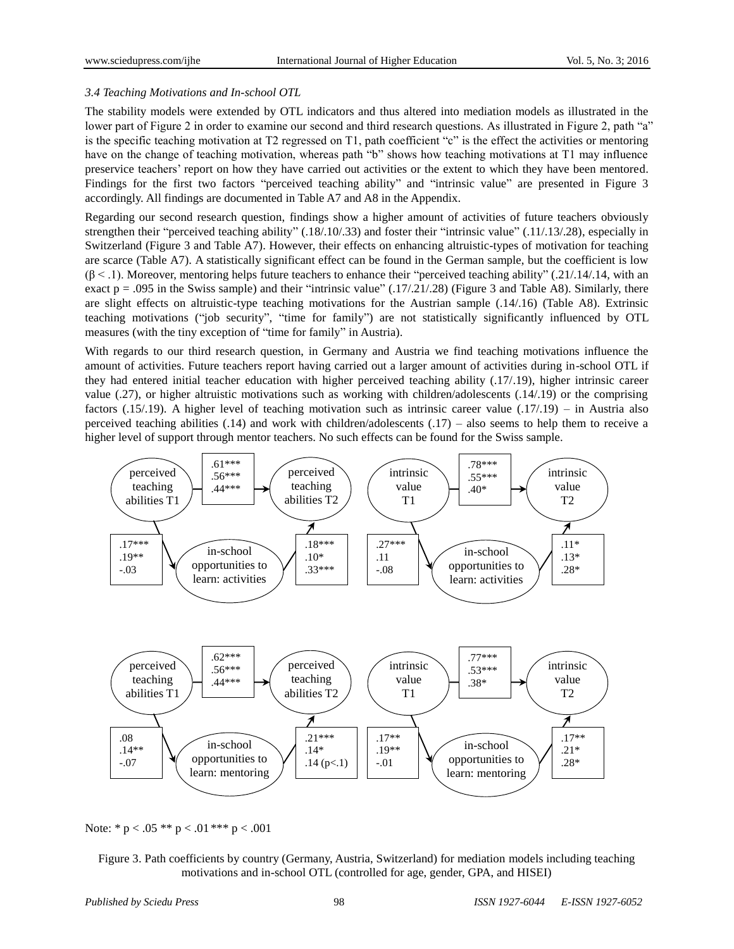## *3.4 Teaching Motivations and In-school OTL*

The stability models were extended by OTL indicators and thus altered into mediation models as illustrated in the lower part of Figure 2 in order to examine our second and third research questions. As illustrated in Figure 2, path "a" is the specific teaching motivation at T2 regressed on T1, path coefficient "c" is the effect the activities or mentoring have on the change of teaching motivation, whereas path "b" shows how teaching motivations at T1 may influence preservice teachers' report on how they have carried out activities or the extent to which they have been mentored. Findings for the first two factors "perceived teaching ability" and "intrinsic value" are presented in Figure 3 accordingly. All findings are documented in Table A7 and A8 in the Appendix.

Regarding our second research question, findings show a higher amount of activities of future teachers obviously strengthen their "perceived teaching ability" (.18/.10/.33) and foster their "intrinsic value" (.11/.13/.28), especially in Switzerland (Figure 3 and Table A7). However, their effects on enhancing altruistic-types of motivation for teaching are scarce (Table A7). A statistically significant effect can be found in the German sample, but the coefficient is low  $(β < 1)$ . Moreover, mentoring helps future teachers to enhance their "perceived teaching ability" (.21/.14/.14, with an exact  $p = .095$  in the Swiss sample) and their "intrinsic value"  $(.17/.21/.28)$  (Figure 3 and Table A8). Similarly, there are slight effects on altruistic-type teaching motivations for the Austrian sample (.14/.16) (Table A8). Extrinsic teaching motivations ("job security", "time for family") are not statistically significantly influenced by OTL measures (with the tiny exception of "time for family" in Austria).

With regards to our third research question, in Germany and Austria we find teaching motivations influence the amount of activities. Future teachers report having carried out a larger amount of activities during in-school OTL if they had entered initial teacher education with higher perceived teaching ability (.17/.19), higher intrinsic career value (.27), or higher altruistic motivations such as working with children/adolescents (.14/.19) or the comprising factors (.15/.19). A higher level of teaching motivation such as intrinsic career value (.17/.19) – in Austria also perceived teaching abilities  $(0.14)$  and work with children/adolescents  $(0.17)$  – also seems to help them to receive a higher level of support through mentor teachers. No such effects can be found for the Swiss sample.



Note: \* p < .05 \*\* p < .01 \*\*\* p < .001

Figure 3. Path coefficients by country (Germany, Austria, Switzerland) for mediation models including teaching motivations and in-school OTL (controlled for age, gender, GPA, and HISEI)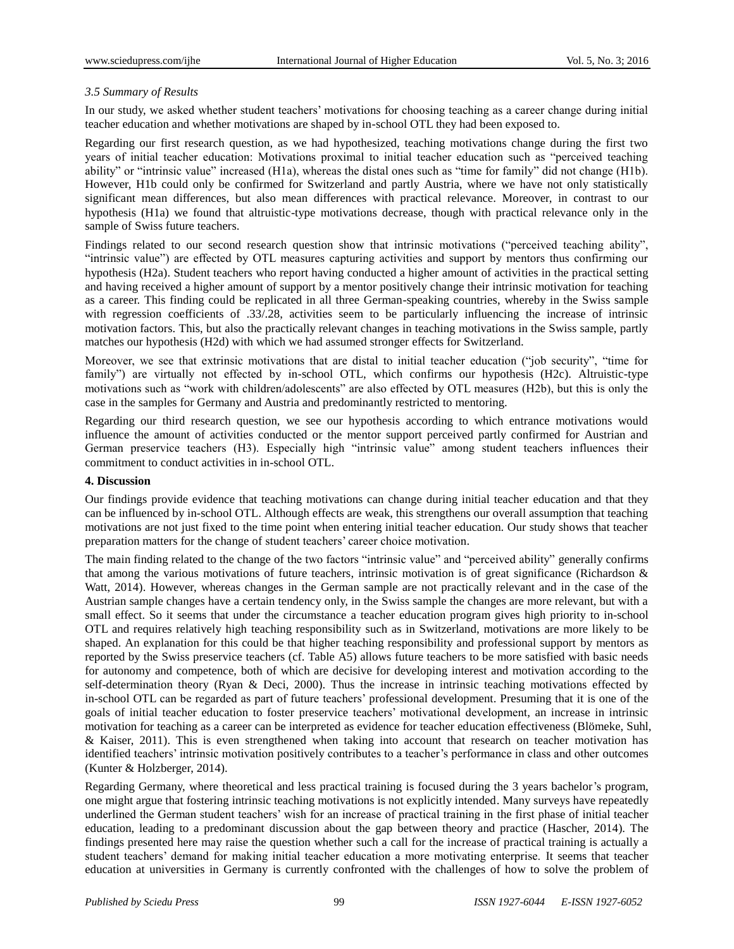## *3.5 Summary of Results*

In our study, we asked whether student teachers' motivations for choosing teaching as a career change during initial teacher education and whether motivations are shaped by in-school OTL they had been exposed to.

Regarding our first research question, as we had hypothesized, teaching motivations change during the first two years of initial teacher education: Motivations proximal to initial teacher education such as "perceived teaching ability" or "intrinsic value" increased (H1a), whereas the distal ones such as "time for family" did not change (H1b). However, H1b could only be confirmed for Switzerland and partly Austria, where we have not only statistically significant mean differences, but also mean differences with practical relevance. Moreover, in contrast to our hypothesis (H1a) we found that altruistic-type motivations decrease, though with practical relevance only in the sample of Swiss future teachers.

Findings related to our second research question show that intrinsic motivations ("perceived teaching ability", "intrinsic value") are effected by OTL measures capturing activities and support by mentors thus confirming our hypothesis (H2a). Student teachers who report having conducted a higher amount of activities in the practical setting and having received a higher amount of support by a mentor positively change their intrinsic motivation for teaching as a career. This finding could be replicated in all three German-speaking countries, whereby in the Swiss sample with regression coefficients of .33/.28, activities seem to be particularly influencing the increase of intrinsic motivation factors. This, but also the practically relevant changes in teaching motivations in the Swiss sample, partly matches our hypothesis (H2d) with which we had assumed stronger effects for Switzerland.

Moreover, we see that extrinsic motivations that are distal to initial teacher education ("job security", "time for family") are virtually not effected by in-school OTL, which confirms our hypothesis (H2c). Altruistic-type motivations such as "work with children/adolescents" are also effected by OTL measures (H2b), but this is only the case in the samples for Germany and Austria and predominantly restricted to mentoring.

Regarding our third research question, we see our hypothesis according to which entrance motivations would influence the amount of activities conducted or the mentor support perceived partly confirmed for Austrian and German preservice teachers (H3). Especially high "intrinsic value" among student teachers influences their commitment to conduct activities in in-school OTL.

#### **4. Discussion**

Our findings provide evidence that teaching motivations can change during initial teacher education and that they can be influenced by in-school OTL. Although effects are weak, this strengthens our overall assumption that teaching motivations are not just fixed to the time point when entering initial teacher education. Our study shows that teacher preparation matters for the change of student teachers' career choice motivation.

The main finding related to the change of the two factors "intrinsic value" and "perceived ability" generally confirms that among the various motivations of future teachers, intrinsic motivation is of great significance (Richardson & Watt, 2014). However, whereas changes in the German sample are not practically relevant and in the case of the Austrian sample changes have a certain tendency only, in the Swiss sample the changes are more relevant, but with a small effect. So it seems that under the circumstance a teacher education program gives high priority to in-school OTL and requires relatively high teaching responsibility such as in Switzerland, motivations are more likely to be shaped. An explanation for this could be that higher teaching responsibility and professional support by mentors as reported by the Swiss preservice teachers (cf. Table A5) allows future teachers to be more satisfied with basic needs for autonomy and competence, both of which are decisive for developing interest and motivation according to the self-determination theory (Ryan & Deci, 2000). Thus the increase in intrinsic teaching motivations effected by in-school OTL can be regarded as part of future teachers' professional development. Presuming that it is one of the goals of initial teacher education to foster preservice teachers' motivational development, an increase in intrinsic motivation for teaching as a career can be interpreted as evidence for teacher education effectiveness (Blömeke, Suhl, & Kaiser, 2011). This is even strengthened when taking into account that research on teacher motivation has identified teachers' intrinsic motivation positively contributes to a teacher's performance in class and other outcomes (Kunter & Holzberger, 2014).

Regarding Germany, where theoretical and less practical training is focused during the 3 years bachelor's program, one might argue that fostering intrinsic teaching motivations is not explicitly intended. Many surveys have repeatedly underlined the German student teachers' wish for an increase of practical training in the first phase of initial teacher education, leading to a predominant discussion about the gap between theory and practice (Hascher, 2014). The findings presented here may raise the question whether such a call for the increase of practical training is actually a student teachers' demand for making initial teacher education a more motivating enterprise. It seems that teacher education at universities in Germany is currently confronted with the challenges of how to solve the problem of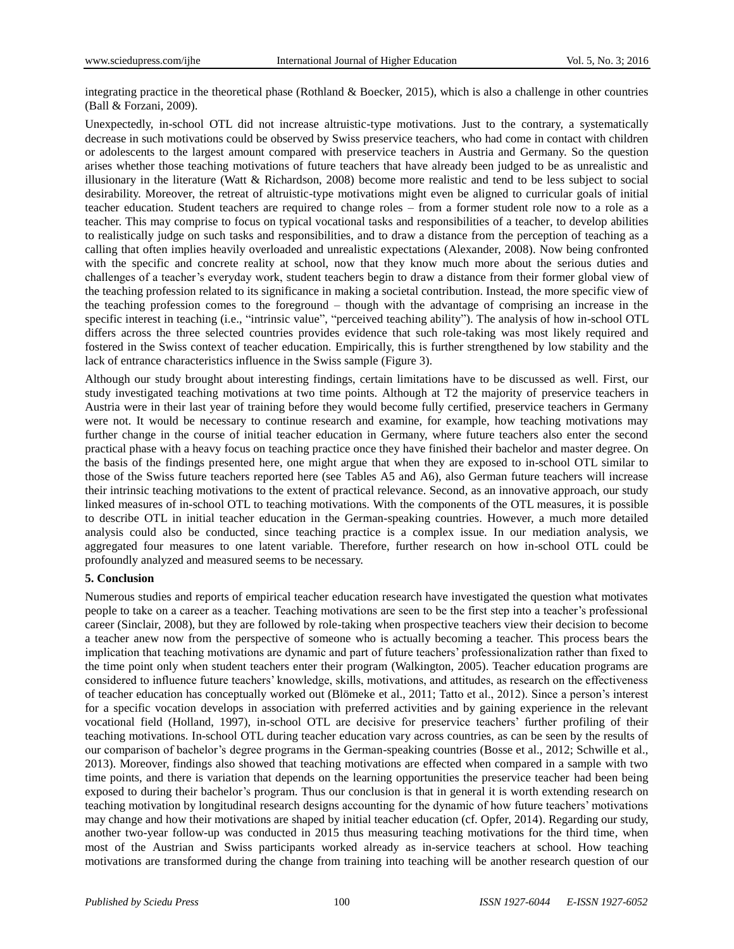integrating practice in the theoretical phase (Rothland & Boecker, 2015), which is also a challenge in other countries (Ball & Forzani, 2009).

Unexpectedly, in-school OTL did not increase altruistic-type motivations. Just to the contrary, a systematically decrease in such motivations could be observed by Swiss preservice teachers, who had come in contact with children or adolescents to the largest amount compared with preservice teachers in Austria and Germany. So the question arises whether those teaching motivations of future teachers that have already been judged to be as unrealistic and illusionary in the literature (Watt & Richardson, 2008) become more realistic and tend to be less subject to social desirability. Moreover, the retreat of altruistic-type motivations might even be aligned to curricular goals of initial teacher education. Student teachers are required to change roles – from a former student role now to a role as a teacher. This may comprise to focus on typical vocational tasks and responsibilities of a teacher, to develop abilities to realistically judge on such tasks and responsibilities, and to draw a distance from the perception of teaching as a calling that often implies heavily overloaded and unrealistic expectations (Alexander, 2008). Now being confronted with the specific and concrete reality at school, now that they know much more about the serious duties and challenges of a teacher's everyday work, student teachers begin to draw a distance from their former global view of the teaching profession related to its significance in making a societal contribution. Instead, the more specific view of the teaching profession comes to the foreground – though with the advantage of comprising an increase in the specific interest in teaching (i.e., "intrinsic value", "perceived teaching ability"). The analysis of how in-school OTL differs across the three selected countries provides evidence that such role-taking was most likely required and fostered in the Swiss context of teacher education. Empirically, this is further strengthened by low stability and the lack of entrance characteristics influence in the Swiss sample (Figure 3).

Although our study brought about interesting findings, certain limitations have to be discussed as well. First, our study investigated teaching motivations at two time points. Although at T2 the majority of preservice teachers in Austria were in their last year of training before they would become fully certified, preservice teachers in Germany were not. It would be necessary to continue research and examine, for example, how teaching motivations may further change in the course of initial teacher education in Germany, where future teachers also enter the second practical phase with a heavy focus on teaching practice once they have finished their bachelor and master degree. On the basis of the findings presented here, one might argue that when they are exposed to in-school OTL similar to those of the Swiss future teachers reported here (see Tables A5 and A6), also German future teachers will increase their intrinsic teaching motivations to the extent of practical relevance. Second, as an innovative approach, our study linked measures of in-school OTL to teaching motivations. With the components of the OTL measures, it is possible to describe OTL in initial teacher education in the German-speaking countries. However, a much more detailed analysis could also be conducted, since teaching practice is a complex issue. In our mediation analysis, we aggregated four measures to one latent variable. Therefore, further research on how in-school OTL could be profoundly analyzed and measured seems to be necessary.

#### **5. Conclusion**

Numerous studies and reports of empirical teacher education research have investigated the question what motivates people to take on a career as a teacher. Teaching motivations are seen to be the first step into a teacher's professional career (Sinclair, 2008), but they are followed by role-taking when prospective teachers view their decision to become a teacher anew now from the perspective of someone who is actually becoming a teacher. This process bears the implication that teaching motivations are dynamic and part of future teachers' professionalization rather than fixed to the time point only when student teachers enter their program (Walkington, 2005). Teacher education programs are considered to influence future teachers' knowledge, skills, motivations, and attitudes, as research on the effectiveness of teacher education has conceptually worked out (Blömeke et al., 2011; Tatto et al., 2012). Since a person's interest for a specific vocation develops in association with preferred activities and by gaining experience in the relevant vocational field (Holland, 1997), in-school OTL are decisive for preservice teachers' further profiling of their teaching motivations. In-school OTL during teacher education vary across countries, as can be seen by the results of our comparison of bachelor's degree programs in the German-speaking countries (Bosse et al., 2012; Schwille et al., 2013). Moreover, findings also showed that teaching motivations are effected when compared in a sample with two time points, and there is variation that depends on the learning opportunities the preservice teacher had been being exposed to during their bachelor's program. Thus our conclusion is that in general it is worth extending research on teaching motivation by longitudinal research designs accounting for the dynamic of how future teachers' motivations may change and how their motivations are shaped by initial teacher education (cf. Opfer, 2014). Regarding our study, another two-year follow-up was conducted in 2015 thus measuring teaching motivations for the third time, when most of the Austrian and Swiss participants worked already as in-service teachers at school. How teaching motivations are transformed during the change from training into teaching will be another research question of our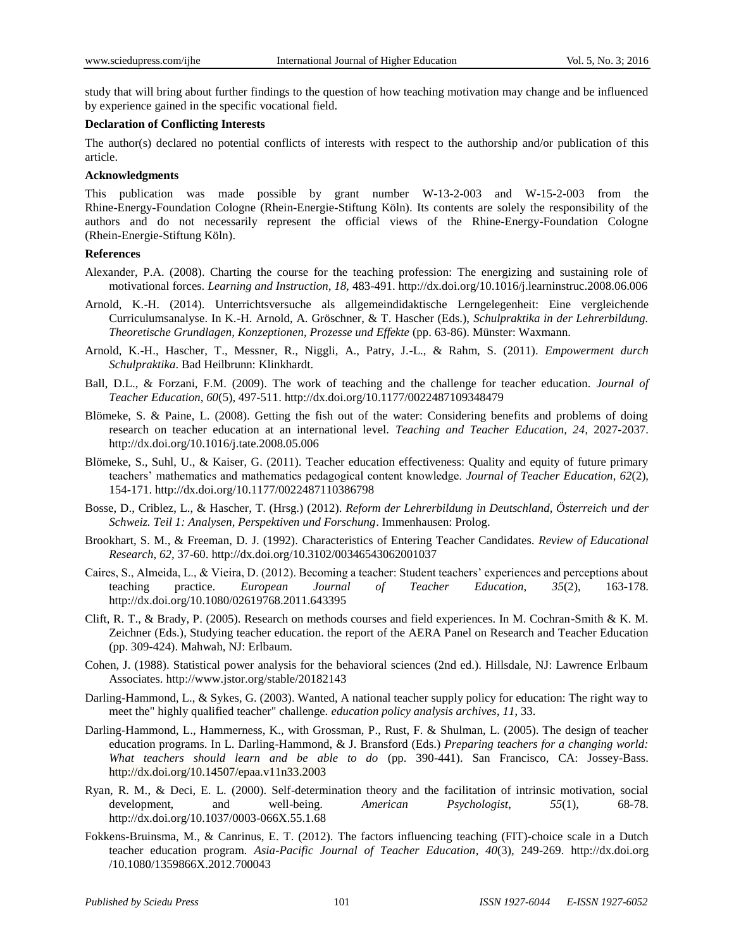study that will bring about further findings to the question of how teaching motivation may change and be influenced by experience gained in the specific vocational field.

#### **Declaration of Conflicting Interests**

The author(s) declared no potential conflicts of interests with respect to the authorship and/or publication of this article.

#### **Acknowledgments**

This publication was made possible by grant number W-13-2-003 and W-15-2-003 from the Rhine-Energy-Foundation Cologne (Rhein-Energie-Stiftung Köln). Its contents are solely the responsibility of the authors and do not necessarily represent the official views of the Rhine-Energy-Foundation Cologne (Rhein-Energie-Stiftung Köln).

### **References**

- Alexander, P.A. (2008). Charting the course for the teaching profession: The energizing and sustaining role of motivational forces. *Learning and Instruction, 18,* 483-491. http://dx.doi.org[/10.1016/j.learninstruc.2008.06.006](http://dx.doi.org/10.1016/j.learninstruc.2008.06.006)
- Arnold, K.-H. (2014). Unterrichtsversuche als allgemeindidaktische Lerngelegenheit: Eine vergleichende Curriculumsanalyse. In K.-H. Arnold, A. Gröschner, & T. Hascher (Eds.), *Schulpraktika in der Lehrerbildung. Theoretische Grundlagen, Konzeptionen, Prozesse und Effekte* (pp. 63-86). Münster: Waxmann.
- Arnold, K.-H., Hascher, T., Messner, R., Niggli, A., Patry, J.-L., & Rahm, S. (2011). *Empowerment durch Schulpraktika*. Bad Heilbrunn: Klinkhardt.
- Ball, D.L., & Forzani, F.M. (2009). The work of teaching and the challenge for teacher education. *Journal of Teacher Education, 60*(5), 497-511. http://dx.doi.org/10.1177/0022487109348479
- Blömeke, S. & Paine, L. (2008). Getting the fish out of the water: Considering benefits and problems of doing research on teacher education at an international level. *Teaching and Teacher Education, 24*, 2027-2037. http://dx.doi.org[/10.1016/j.tate.2008.05.006](http://dx.doi.org/10.1016/j.tate.2008.05.006)
- Blömeke, S., Suhl, U., & Kaiser, G. (2011). Teacher education effectiveness: Quality and equity of future primary teachers' mathematics and mathematics pedagogical content knowledge. *Journal of Teacher Education*, *62*(2), 154-171. http://dx.doi.org/10.1177/0022487110386798
- Bosse, D., Criblez, L., & Hascher, T. (Hrsg.) (2012). *Reform der Lehrerbildung in Deutschland, Österreich und der Schweiz. Teil 1: Analysen, Perspektiven und Forschung*. Immenhausen: Prolog.
- Brookhart, S. M., & Freeman, D. J. (1992). Characteristics of Entering Teacher Candidates. *Review of Educational Research, 62,* 37-60. http://dx.doi.org/10.3102/00346543062001037
- Caires, S., Almeida, L., & Vieira, D. (2012). Becoming a teacher: Student teachers' experiences and perceptions about teaching practice. *European Journal of Teacher Education*, *35*(2), 163-178. http://dx.doi.org/10.1080/02619768.2011.643395
- Clift, R. T., & Brady, P. (2005). Research on methods courses and field experiences. In M. Cochran-Smith & K. M. Zeichner (Eds.), Studying teacher education. the report of the AERA Panel on Research and Teacher Education (pp. 309-424). Mahwah, NJ: Erlbaum.
- Cohen, J. (1988). Statistical power analysis for the behavioral sciences (2nd ed.). Hillsdale, NJ: Lawrence Erlbaum Associates. http://www.jstor.org/stable/20182143
- Darling-Hammond, L., & Sykes, G. (2003). Wanted, A national teacher supply policy for education: The right way to meet the" highly qualified teacher" challenge. *education policy analysis archives*, *11*, 33.
- Darling-Hammond, L., Hammerness, K., with Grossman, P., Rust, F. & Shulman, L. (2005). The design of teacher education programs. In L. Darling-Hammond, & J. Bransford (Eds.) *Preparing teachers for a changing world: What teachers should learn and be able to do* (pp. 390-441). San Francisco, CA: Jossey-Bass. <http://dx.doi.org/10.14507/epaa.v11n33.2003>
- Ryan, R. M., & Deci, E. L. (2000). Self-determination theory and the facilitation of intrinsic motivation, social development, and well-being. *American Psychologist*, *55*(1), 68-78. [http://dx.doi.org/10.1037/0003-066X.55.1.68](http://psycnet.apa.org/doi/10.1037/0003-066X.55.1.68)
- Fokkens-Bruinsma, M., & Canrinus, E. T. (2012). The factors influencing teaching (FIT)-choice scale in a Dutch teacher education program. *Asia-Pacific Journal of Teacher Education*, *40*(3), 249-269. http://dx.doi.org /10.1080/1359866X.2012.700043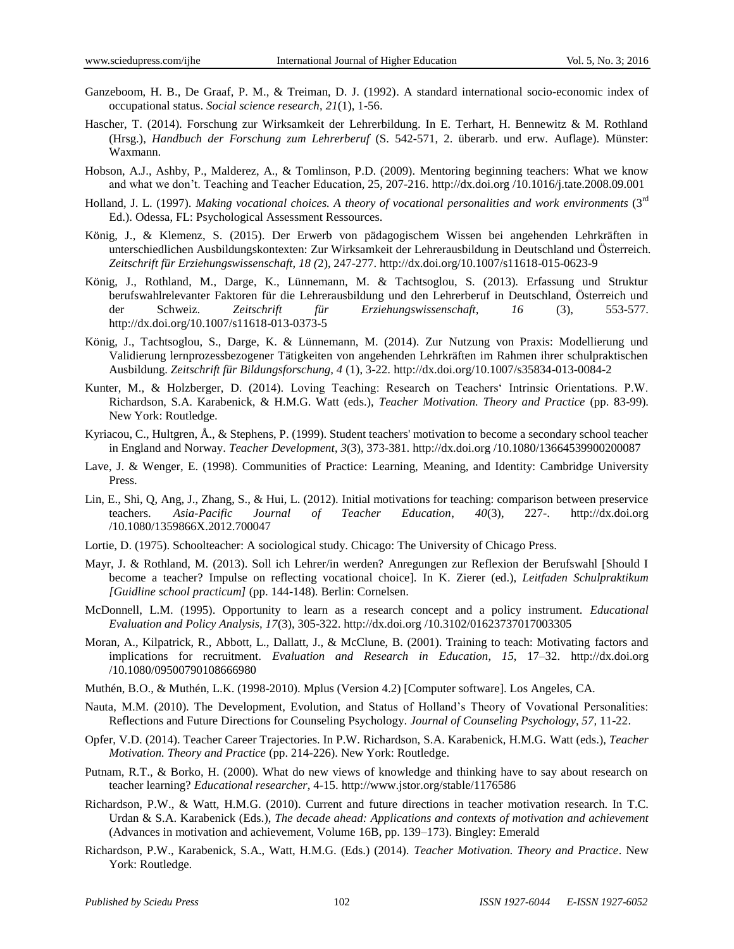- Ganzeboom, H. B., De Graaf, P. M., & Treiman, D. J. (1992). A standard international socio-economic index of occupational status. *Social science research*, *21*(1), 1-56.
- Hascher, T. (2014). Forschung zur Wirksamkeit der Lehrerbildung. In E. Terhart, H. Bennewitz & M. Rothland (Hrsg.), *Handbuch der Forschung zum Lehrerberuf* (S. 542-571, 2. überarb. und erw. Auflage). Münster: Waxmann.
- Hobson, A.J., Ashby, P., Malderez, A., & Tomlinson, P.D. (2009). Mentoring beginning teachers: What we know and what we don't. Teaching and Teacher Education, 25, 207-216. http://dx.doi.org [/10.1016/j.tate.2008.09.001](http://dx.doi.org/10.1016/j.tate.2008.09.001)
- Holland, J. L. (1997). *Making vocational choices. A theory of vocational personalities and work environments* (3rd Ed.). Odessa, FL: Psychological Assessment Ressources.
- König, J., & Klemenz, S. (2015). Der Erwerb von pädagogischem Wissen bei angehenden Lehrkräften in unterschiedlichen Ausbildungskontexten: Zur Wirksamkeit der Lehrerausbildung in Deutschland und Österreich. *Zeitschrift für Erziehungswissenschaft, 18 (*2), 247-277. http://dx.doi.org/10.1007/s11618-015-0623-9
- König, J., Rothland, M., Darge, K., Lünnemann, M. & Tachtsoglou, S. (2013). Erfassung und Struktur berufswahlrelevanter Faktoren für die Lehrerausbildung und den Lehrerberuf in Deutschland, Österreich und der Schweiz. *Zeitschrift für Erziehungswissenschaft, 16* (3), 553-577. http://dx.doi.org/10.1007/s11618-013-0373-5
- König, J., Tachtsoglou, S., Darge, K. & Lünnemann, M. (2014). Zur Nutzung von Praxis: Modellierung und Validierung lernprozessbezogener Tätigkeiten von angehenden Lehrkräften im Rahmen ihrer schulpraktischen Ausbildung. *Zeitschrift für Bildungsforschung, 4* (1), 3-22*.* http://dx.doi.org/10.1007/s35834-013-0084-2
- Kunter, M., & Holzberger, D. (2014). Loving Teaching: Research on Teachers' Intrinsic Orientations. P.W. Richardson, S.A. Karabenick, & H.M.G. Watt (eds.), *Teacher Motivation. Theory and Practice* (pp. 83-99). New York: Routledge.
- Kyriacou, C., Hultgren, Å., & Stephens, P. (1999). Student teachers' motivation to become a secondary school teacher in England and Norway. *Teacher Development*, *3*(3), 373-381. http://dx.doi.org /10.1080/13664539900200087
- Lave, J. & Wenger, E. (1998). Communities of Practice: Learning, Meaning, and Identity: Cambridge University Press.
- Lin, E., Shi, Q, Ang, J., Zhang, S., & Hui, L. (2012). Initial motivations for teaching: comparison between preservice teachers. *Asia-Pacific Journal of Teacher Education*, *40*(3), 227-. http://dx.doi.org /10.1080/1359866X.2012.700047
- Lortie, D. (1975). Schoolteacher: A sociological study. Chicago: The University of Chicago Press.
- Mayr, J. & Rothland, M. (2013). Soll ich Lehrer/in werden? Anregungen zur Reflexion der Berufswahl [Should I become a teacher? Impulse on reflecting vocational choice]. In K. Zierer (ed.), *Leitfaden Schulpraktikum [Guidline school practicum]* (pp. 144-148). Berlin: Cornelsen.
- McDonnell, L.M. (1995). Opportunity to learn as a research concept and a policy instrument. *Educational Evaluation and Policy Analysis, 17*(3), 305-322. http://dx.doi.org /10.3102/01623737017003305
- Moran, A., Kilpatrick, R., Abbott, L., Dallatt, J., & McClune, B. (2001). Training to teach: Motivating factors and implications for recruitment. *Evaluation and Research in Education*, *15*, 17–32. http://dx.doi.org /10.1080/09500790108666980
- Muthén, B.O., & Muthén, L.K. (1998-2010). Mplus (Version 4.2) [Computer software]. Los Angeles, CA.
- Nauta, M.M. (2010). The Development, Evolution, and Status of Holland's Theory of Vovational Personalities: Reflections and Future Directions for Counseling Psychology. *Journal of Counseling Psychology, 57,* 11-22.
- Opfer, V.D. (2014). Teacher Career Trajectories. In P.W. Richardson, S.A. Karabenick, H.M.G. Watt (eds.), *Teacher Motivation. Theory and Practice* (pp. 214-226). New York: Routledge.
- Putnam, R.T., & Borko, H. (2000). What do new views of knowledge and thinking have to say about research on teacher learning? *Educational researcher*, 4-15. http://www.jstor.org/stable/1176586
- Richardson, P.W., & Watt, H.M.G. (2010). Current and future directions in teacher motivation research. In T.C. Urdan & S.A. Karabenick (Eds.), *The decade ahead: Applications and contexts of motivation and achievement*  (Advances in motivation and achievement, Volume 16B, pp. 139–173). Bingley: Emerald
- Richardson, P.W., Karabenick, S.A., Watt, H.M.G. (Eds.) (2014). *Teacher Motivation. Theory and Practice*. New York: Routledge.